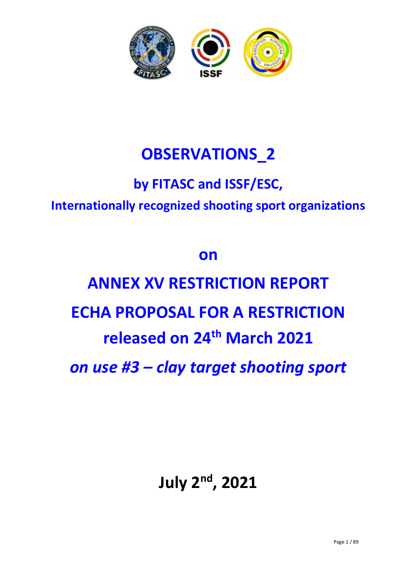

# **OBSERVATIONS\_2**

# **by FITASC and ISSF/ESC, Internationally recognized shooting sport organizations**

# **on**

# **ANNEX XV RESTRICTION REPORT ECHA PROPOSAL FOR A RESTRICTION released on 24th March 2021** *on use #3 – clay target shooting sport*

# **July 2nd, 2021**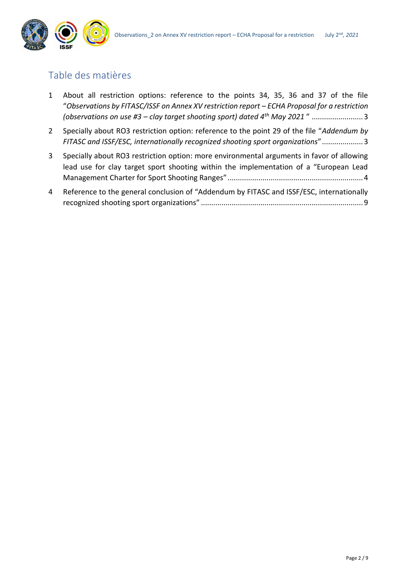

## Table des matières

- 1 [About all restriction options: reference to the points 34, 35, 36 and 37 of the file](#page-2-0)  "*[Observations by FITASC/ISSF on Annex XV restriction report](#page-2-0) – ECHA Proposal for a restriction (observations on use #3 – [clay target shooting sport\) dated 4](#page-2-0)th May 2021* " .........................3
- 2 Specially about RO3 [restriction option: reference to the point 29 of the file "](#page-2-1)*Addendum by [FITASC and ISSF/ESC, internationally recognized shooting sport organizations](#page-2-1)*"....................3
- 3 [Specially about RO3 restriction option: more environmental arguments in favor of allowing](#page-3-0)  [lead use for clay target sport shooting within the implementation of a "European Lead](#page-3-0)  [Management Charter for Sport Shooting Ranges"](#page-3-0) ..................................................................4
- 4 [Reference to the general conclusion of "Addendum by FITASC and ISSF/ESC, internationally](#page-8-0)  recognized shooting sport organizations" [...............................................................................9](#page-8-0)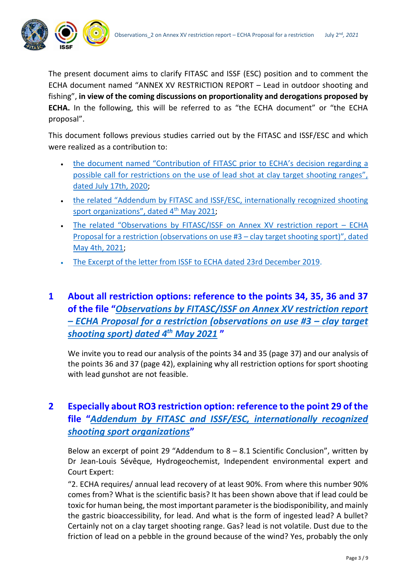

The present document aims to clarify FITASC and ISSF (ESC) position and to comment the ECHA document named "ANNEX XV RESTRICTION REPORT – Lead in outdoor shooting and fishing", **in view of the coming discussions on proportionality and derogations proposed by ECHA.** In the following, this will be referred to as "the ECHA document" or "the ECHA proposal".

This document follows previous studies carried out by the FITASC and ISSF/ESC and which were realized as a contribution to:

- [the document named "Contribution of FITASC prior to ECHA's decision regardi](https://www.fitasc.com/upload/images/echa_mai_2021/20200720_eng_fitasc_doc_contribution_echa.pdf)ng a possible call for restrictions on the use of lead shot at clay target shooting ranges", [dated July 17th, 2020;](https://www.fitasc.com/upload/images/echa_mai_2021/20200720_eng_fitasc_doc_contribution_echa.pdf)
- the related "Addendum [by FITASC and ISSF/ESC, internationally recognized shooting](https://www.fitasc.com/upload/images/echa_mai_2021/20210504_addendum_may21_to_fitasc_contribution_july20.pdf)  [sport organizations",](https://www.fitasc.com/upload/images/echa_mai_2021/20210504_addendum_may21_to_fitasc_contribution_july20.pdf) dated 4<sup>th</sup> May 2021;
- The relat[ed "Observations by FITASC/ISSF on Annex XV restriction report –](https://www.fitasc.com/upload/images/echa_mai_2021/20210504_fitasc_issf_observations_may21_to_echa_proposal_march21.pdf) ECHA [Proposal for a restriction \(observations on use #3](https://www.fitasc.com/upload/images/echa_mai_2021/20210504_fitasc_issf_observations_may21_to_echa_proposal_march21.pdf) – clay target shooting sport)", dated [May 4th, 2021;](https://www.fitasc.com/upload/images/echa_mai_2021/20210504_fitasc_issf_observations_may21_to_echa_proposal_march21.pdf)
- [The Excerpt of the letter from ISSF to ECHA dated 23rd December 2019.](-%09https:/www.fitasc.com/upload/images/echa_mai_2021/20191223_excerpt_lettre_issf_to_echa.pdf)
- <span id="page-2-0"></span>**1 About all restriction options: reference to the points 34, 35, 36 and 37 of the file "***[Observations by FITASC/ISSF on Annex XV restriction report](https://www.fitasc.com/upload/images/echa_mai_2021/20210504_fitasc_issf_observations_may21_to_echa_proposal_march21.pdf)  – [ECHA Proposal for a restriction \(observations on use #3](https://www.fitasc.com/upload/images/echa_mai_2021/20210504_fitasc_issf_observations_may21_to_echa_proposal_march21.pdf) – clay target [shooting sport\) dated 4](https://www.fitasc.com/upload/images/echa_mai_2021/20210504_fitasc_issf_observations_may21_to_echa_proposal_march21.pdf)th May 2021* **"**

We invite you to read our analysis of the points 34 and 35 (page 37) and our analysis of the points 36 and 37 (page 42), explaining why all restriction options for sport shooting with lead gunshot are not feasible.

## <span id="page-2-1"></span>**2 Especially about RO3 restriction option: reference to the point 29 of the file "***[Addendum by FITASC and ISSF/ESC, internationally recognized](https://www.fitasc.com/upload/images/echa_mai_2021/20210504_addendum_may21_to_fitasc_contribution_july20.pdf)  [shooting sport organizations](https://www.fitasc.com/upload/images/echa_mai_2021/20210504_addendum_may21_to_fitasc_contribution_july20.pdf)***"**

Below an excerpt of point 29 "Addendum to  $8 - 8.1$  Scientific Conclusion", written by Dr Jean-Louis Sévêque, Hydrogeochemist, Independent environmental expert and Court Expert:

"2. ECHA requires/ annual lead recovery of at least 90%. From where this number 90% comes from? What is the scientific basis? It has been shown above that if lead could be toxic for human being, the most important parameter is the biodisponibility, and mainly the gastric bioaccessibility, for lead. And what is the form of ingested lead? A bullet? Certainly not on a clay target shooting range. Gas? lead is not volatile. Dust due to the friction of lead on a pebble in the ground because of the wind? Yes, probably the only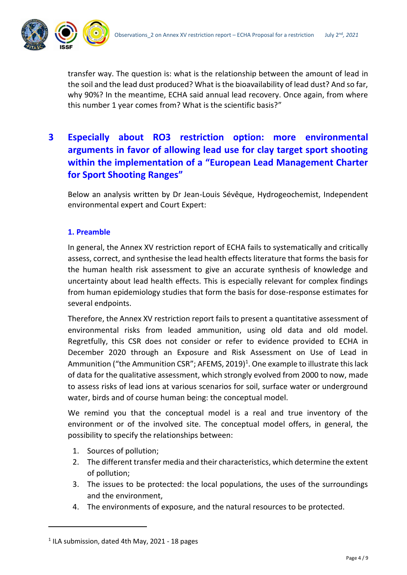

transfer way. The question is: what is the relationship between the amount of lead in the soil and the lead dust produced? What is the bioavailability of lead dust? And so far, why 90%? In the meantime, ECHA said annual lead recovery. Once again, from where this number 1 year comes from? What is the scientific basis?"

## <span id="page-3-0"></span>**3 Especially about RO3 restriction option: more environmental arguments in favor of allowing lead use for clay target sport shooting within the implementation of a "European Lead Management Charter for Sport Shooting Ranges"**

Below an analysis written by Dr Jean-Louis Sévêque, Hydrogeochemist, Independent environmental expert and Court Expert:

#### **1. Preamble**

In general, the Annex XV restriction report of ECHA fails to systematically and critically assess, correct, and synthesise the lead health effects literature that forms the basis for the human health risk assessment to give an accurate synthesis of knowledge and uncertainty about lead health effects. This is especially relevant for complex findings from human epidemiology studies that form the basis for dose-response estimates for several endpoints.

Therefore, the Annex XV restriction report fails to present a quantitative assessment of environmental risks from leaded ammunition, using old data and old model. Regretfully, this CSR does not consider or refer to evidence provided to ECHA in December 2020 through an Exposure and Risk Assessment on Use of Lead in Ammunition ("the Ammunition CSR"; AFEMS, 2019)<sup>1</sup>. One example to illustrate this lack of data for the qualitative assessment, which strongly evolved from 2000 to now, made to assess risks of lead ions at various scenarios for soil, surface water or underground water, birds and of course human being: the conceptual model.

We remind you that the conceptual model is a real and true inventory of the environment or of the involved site. The conceptual model offers, in general, the possibility to specify the relationships between:

- 1. Sources of pollution;
- 2. The different transfer media and their characteristics, which determine the extent of pollution;
- 3. The issues to be protected: the local populations, the uses of the surroundings and the environment,
- 4. The environments of exposure, and the natural resources to be protected.

 $<sup>1</sup>$  ILA submission, dated 4th May, 2021 - 18 pages</sup>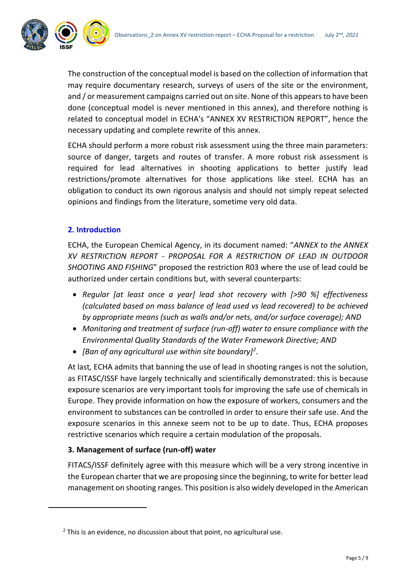

The construction of the conceptual model is based on the collection of information that may require documentary research, surveys of users of the site or the environment, and / or measurement campaigns carried out on site. None of this appears to have been done (conceptual model is never mentioned in this annex), and therefore nothing is related to conceptual model in ECHA's "ANNEX XV RESTRICTION REPORT", hence the necessary updating and complete rewrite of this annex.

ECHA should perform a more robust risk assessment using the three main parameters: source of danger, targets and routes of transfer. A more robust risk assessment is required for lead alternatives in shooting applications to better justify lead restrictions/promote alternatives for those applications like steel. ECHA has an obligation to conduct its own rigorous analysis and should not simply repeat selected opinions and findings from the literature, sometime very old data.

#### **2. Introduction**

ECHA, the European Chemical Agency, in its document named: "*ANNEX to the ANNEX XV RESTRICTION REPORT - PROPOSAL FOR A RESTRICTION OF LEAD IN OUTDOOR SHOOTING AND FISHING*" proposed the restriction R03 where the use of lead could be authorized under certain conditions but, with several counterparts:

- *Regular [at least once a year] lead shot recovery with [>90 %] effectiveness (calculated based on mass balance of lead used vs lead recovered) to be achieved by appropriate means (such as walls and/or nets, and/or surface coverage); AND*
- *Monitoring and treatment of surface (run-off) water to ensure compliance with the Environmental Quality Standards of the Water Framework Directive; AND*
- *[Ban of any agricultural use within site boundary]<sup>2</sup> .*

At last*,* ECHA admits that banning the use of lead in shooting ranges is not the solution, as FITASC/ISSF have largely technically and scientifically demonstrated: this is because exposure scenarios are very important tools for improving the safe use of chemicals in Europe. They provide information on how the exposure of workers, consumers and the environment to substances can be controlled in order to ensure their safe use. And the exposure scenarios in this annexe seem not to be up to date. Thus, ECHA proposes restrictive scenarios which require a certain modulation of the proposals.

#### **3. Management of surface (run-off) water**

FITACS/ISSF definitely agree with this measure which will be a very strong incentive in the European charter that we are proposing since the beginning, to write for better lead management on shooting ranges. This position is also widely developed in the American

 $2$  This is an evidence, no discussion about that point, no agricultural use.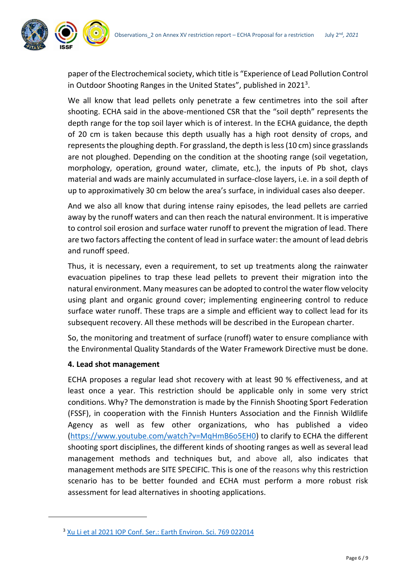

paper of the Electrochemical society, which title is "Experience of Lead Pollution Control in Outdoor Shooting Ranges in the United States", published in 2021<sup>3</sup>.

We all know that lead pellets only penetrate a few centimetres into the soil after shooting. ECHA said in the above-mentioned CSR that the "soil depth" represents the depth range for the top soil layer which is of interest. In the ECHA guidance, the depth of 20 cm is taken because this depth usually has a high root density of crops, and represents the ploughing depth. For grassland, the depth is less (10 cm) since grasslands are not ploughed. Depending on the condition at the shooting range (soil vegetation, morphology, operation, ground water, climate, etc.), the inputs of Pb shot, clays material and wads are mainly accumulated in surface-close layers, i.e. in a soil depth of up to approximatively 30 cm below the area's surface, in individual cases also deeper.

And we also all know that during intense rainy episodes, the lead pellets are carried away by the runoff waters and can then reach the natural environment. It is imperative to control soil erosion and surface water runoff to prevent the migration of lead. There are two factors affecting the content of lead in surface water: the amount of lead debris and runoff speed.

Thus, it is necessary, even a requirement, to set up treatments along the rainwater evacuation pipelines to trap these lead pellets to prevent their migration into the natural environment. Many measures can be adopted to control the water flow velocity using plant and organic ground cover; implementing engineering control to reduce surface water runoff. These traps are a simple and efficient way to collect lead for its subsequent recovery. All these methods will be described in the European charter.

So, the monitoring and treatment of surface (runoff) water to ensure compliance with the Environmental Quality Standards of the Water Framework Directive must be done.

#### **4. Lead shot management**

ECHA proposes a regular lead shot recovery with at least 90 % effectiveness, and at least once a year. This restriction should be applicable only in some very strict conditions. Why? The demonstration is made by the Finnish Shooting Sport Federation (FSSF), in cooperation with the Finnish Hunters Association and the Finnish Wildlife Agency as well as few other organizations, who has published a video [\(https://www.youtube.com/watch?v=MqHmB6o5EH0\)](https://www.youtube.com/watch?v=MqHmB6o5EH0) to clarify to ECHA the different shooting sport disciplines, the different kinds of shooting ranges as well as several lead management methods and techniques but, and above all, also indicates that management methods are SITE SPECIFIC. This is one of the reasons why this restriction scenario has to be better founded and ECHA must perform a more robust risk assessment for lead alternatives in shooting applications.

<sup>3</sup> [Xu Li et al 2021 IOP Conf. Ser.: Earth Environ. Sci. 769 022014](https://iopscience.iop.org/article/10.1088/1755-1315/769/2/022014/pdf)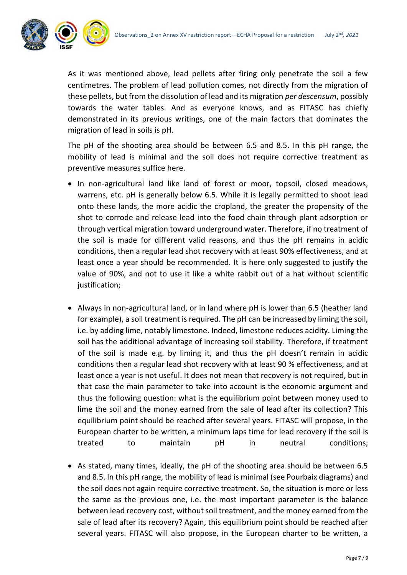

As it was mentioned above, lead pellets after firing only penetrate the soil a few centimetres. The problem of lead pollution comes, not directly from the migration of these pellets, but from the dissolution of lead and its migration *per descensum*, possibly towards the water tables. And as everyone knows, and as FITASC has chiefly demonstrated in its previous writings, one of the main factors that dominates the migration of lead in soils is pH.

The pH of the shooting area should be between 6.5 and 8.5. In this pH range, the mobility of lead is minimal and the soil does not require corrective treatment as preventive measures suffice here.

- In non-agricultural land like land of forest or moor, topsoil, closed meadows, warrens, etc. pH is generally below 6.5. While it is legally permitted to shoot lead onto these lands, the more acidic the cropland, the greater the propensity of the shot to corrode and release lead into the food chain through plant adsorption or through vertical migration toward underground water. Therefore, if no treatment of the soil is made for different valid reasons, and thus the pH remains in acidic conditions, then a regular lead shot recovery with at least 90% effectiveness, and at least once a year should be recommended. It is here only suggested to justify the value of 90%, and not to use it like a white rabbit out of a hat without scientific justification;
- Always in non-agricultural land, or in land where pH is lower than 6.5 (heather land for example), a soil treatment is required. The pH can be increased by liming the soil, i.e. by adding lime, notably limestone. Indeed, limestone reduces acidity. Liming the soil has the additional advantage of increasing soil stability. Therefore, if treatment of the soil is made e.g. by liming it, and thus the pH doesn't remain in acidic conditions then a regular lead shot recovery with at least 90 % effectiveness, and at least once a year is not useful. It does not mean that recovery is not required, but in that case the main parameter to take into account is the economic argument and thus the following question: what is the equilibrium point between money used to lime the soil and the money earned from the sale of lead after its collection? This equilibrium point should be reached after several years. FITASC will propose, in the European charter to be written, a minimum laps time for lead recovery if the soil is treated to maintain pH in neutral conditions;
- As stated, many times, ideally, the pH of the shooting area should be between 6.5 and 8.5. In this pH range, the mobility of lead is minimal (see Pourbaix diagrams) and the soil does not again require corrective treatment. So, the situation is more or less the same as the previous one, i.e. the most important parameter is the balance between lead recovery cost, without soil treatment, and the money earned from the sale of lead after its recovery? Again, this equilibrium point should be reached after several years. FITASC will also propose, in the European charter to be written, a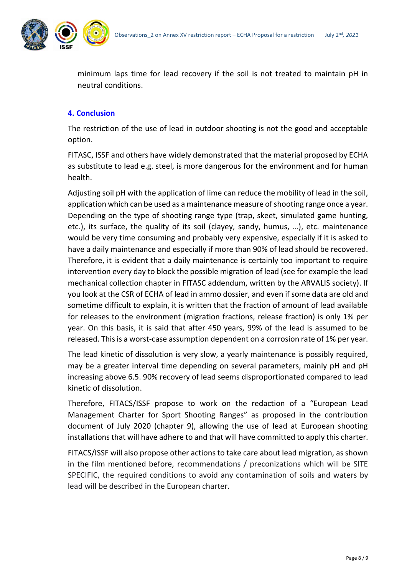

minimum laps time for lead recovery if the soil is not treated to maintain pH in neutral conditions.

#### **4. Conclusion**

The restriction of the use of lead in outdoor shooting is not the good and acceptable option.

FITASC, ISSF and others have widely demonstrated that the material proposed by ECHA as substitute to lead e.g. steel, is more dangerous for the environment and for human health.

Adjusting soil pH with the application of lime can reduce the mobility of lead in the soil, application which can be used as a maintenance measure of shooting range once a year. Depending on the type of shooting range type (trap, skeet, simulated game hunting, etc.), its surface, the quality of its soil (clayey, sandy, humus, …), etc. maintenance would be very time consuming and probably very expensive, especially if it is asked to have a daily maintenance and especially if more than 90% of lead should be recovered. Therefore, it is evident that a daily maintenance is certainly too important to require intervention every day to block the possible migration of lead (see for example the lead mechanical collection chapter in FITASC addendum, written by the ARVALIS society). If you look at the CSR of ECHA of lead in ammo dossier, and even if some data are old and sometime difficult to explain, it is written that the fraction of amount of lead available for releases to the environment (migration fractions, release fraction) is only 1% per year. On this basis, it is said that after 450 years, 99% of the lead is assumed to be released. This is a worst-case assumption dependent on a corrosion rate of 1% per year.

The lead kinetic of dissolution is very slow, a yearly maintenance is possibly required, may be a greater interval time depending on several parameters, mainly pH and pH increasing above 6.5. 90% recovery of lead seems disproportionated compared to lead kinetic of dissolution.

Therefore, FITACS/ISSF propose to work on the redaction of a "European Lead Management Charter for Sport Shooting Ranges" as proposed in the contribution document of July 2020 (chapter 9), allowing the use of lead at European shooting installations that will have adhere to and that will have committed to apply this charter.

FITACS/ISSF will also propose other actions to take care about lead migration, as shown in the film mentioned before, recommendations / preconizations which will be SITE SPECIFIC, the required conditions to avoid any contamination of soils and waters by lead will be described in the European charter.